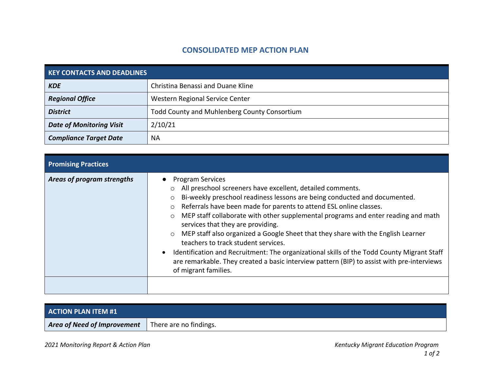## **CONSOLIDATED MEP ACTION PLAN**

| <b>KEY CONTACTS AND DEADLINES</b> |                                              |
|-----------------------------------|----------------------------------------------|
| <b>KDE</b>                        | Christina Benassi and Duane Kline            |
| <b>Regional Office</b>            | Western Regional Service Center              |
| <b>District</b>                   | Todd County and Muhlenberg County Consortium |
| <b>Date of Monitoring Visit</b>   | 2/10/21                                      |
| <b>Compliance Target Date</b>     | ΝA                                           |

| <b>Promising Practices</b> |                                                                                                                                                                                                                                                                                                                                                                                                                                                                                                                                                                                                                                                                                                                                                                 |
|----------------------------|-----------------------------------------------------------------------------------------------------------------------------------------------------------------------------------------------------------------------------------------------------------------------------------------------------------------------------------------------------------------------------------------------------------------------------------------------------------------------------------------------------------------------------------------------------------------------------------------------------------------------------------------------------------------------------------------------------------------------------------------------------------------|
| Areas of program strengths | <b>Program Services</b><br>o All preschool screeners have excellent, detailed comments.<br>Bi-weekly preschool readiness lessons are being conducted and documented.<br>$\circ$<br>Referrals have been made for parents to attend ESL online classes.<br>$\circ$<br>MEP staff collaborate with other supplemental programs and enter reading and math<br>$\circ$<br>services that they are providing.<br>MEP staff also organized a Google Sheet that they share with the English Learner<br>$\circ$<br>teachers to track student services.<br>Identification and Recruitment: The organizational skills of the Todd County Migrant Staff<br>are remarkable. They created a basic interview pattern (BIP) to assist with pre-interviews<br>of migrant families. |

| <b>ACTION PLAN ITEM #1</b>                                |  |
|-----------------------------------------------------------|--|
| <b>Area of Need of Improvement</b> There are no findings. |  |